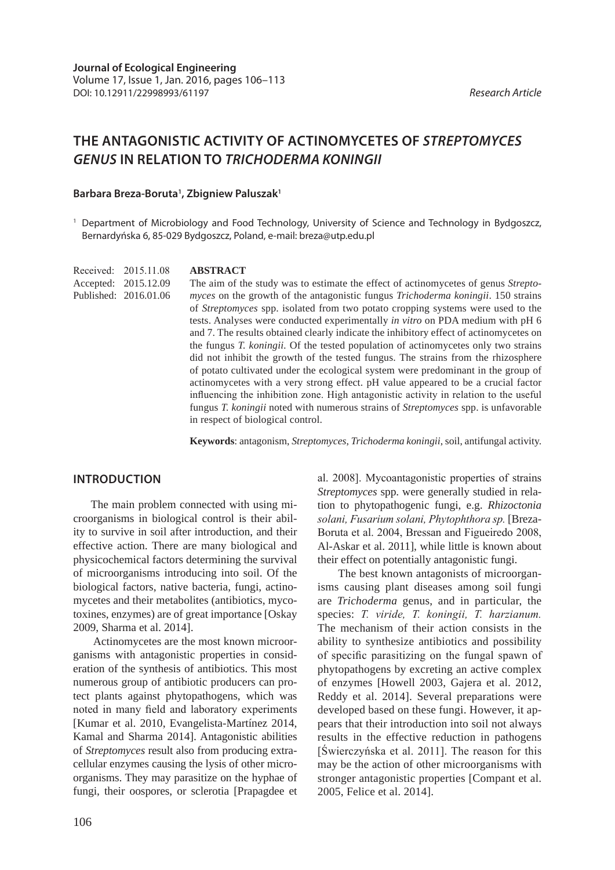# **THE ANTAGONISTIC ACTIVITY OF ACTINOMYCETES OF** *STREPTOMYCES GENUS* **IN RELATION TO** *TRICHODERMA KONINGII*

### **Barbara Breza-Boruta1 , Zbigniew Paluszak1**

<sup>1</sup> Department of Microbiology and Food Technology, University of Science and Technology in Bydgoszcz, Bernardyńska 6, 85-029 Bydgoszcz, Poland, e-mail: breza@utp.edu.pl

Received: 2015.11.08 Accepted: 2015.12.09 Published: 2016.01.06

#### **ABSTRACT**

The aim of the study was to estimate the effect of actinomycetes of genus *Streptomyces* on the growth of the antagonistic fungus *Trichoderma koningii*. 150 strains of *Streptomyces* spp. isolated from two potato cropping systems were used to the tests. Analyses were conducted experimentally *in vitro* on PDA medium with pH 6 and 7. The results obtained clearly indicate the inhibitory effect of actinomycetes on the fungus *T. koningii.* Of the tested population of actinomycetes only two strains did not inhibit the growth of the tested fungus. The strains from the rhizosphere of potato cultivated under the ecological system were predominant in the group of actinomycetes with a very strong effect. pH value appeared to be a crucial factor influencing the inhibition zone. High antagonistic activity in relation to the useful fungus *T. koningii* noted with numerous strains of *Streptomyces* spp. is unfavorable in respect of biological control.

**Keywords**: antagonism, *Streptomyces*, *Trichoderma koningii*, soil, antifungal activity.

### **INTRODUCTION**

The main problem connected with using microorganisms in biological control is their ability to survive in soil after introduction, and their effective action. There are many biological and physicochemical factors determining the survival of microorganisms introducing into soil. Of the biological factors, native bacteria, fungi, actinomycetes and their metabolites (antibiotics, mycotoxines, enzymes) are of great importance [Oskay 2009, Sharma et al. 2014].

 Actinomycetes are the most known microorganisms with antagonistic properties in consideration of the synthesis of antibiotics. This most numerous group of antibiotic producers can protect plants against phytopathogens, which was noted in many field and laboratory experiments [Kumar et al. 2010, Evangelista-Martínez 2014, Kamal and Sharma 2014]. Antagonistic abilities of *Streptomyces* result also from producing extracellular enzymes causing the lysis of other microorganisms. They may parasitize on the hyphae of fungi, their oospores, or sclerotia [Prapagdee et

al. 2008]. Mycoantagonistic properties of strains *Streptomyces* spp. were generally studied in relation to phytopathogenic fungi, e.g. *Rhizoctonia solani, Fusarium solani, Phytophthora sp.* [Breza-Boruta et al. 2004, Bressan and Figueiredo 2008, Al-Askar et al. 2011], while little is known about their effect on potentially antagonistic fungi.

 The best known antagonists of microorganisms causing plant diseases among soil fungi are *Trichoderma* genus, and in particular, the species: *T. viride, T. koningii, T. harzianum.*  The mechanism of their action consists in the ability to synthesize antibiotics and possibility of specific parasitizing on the fungal spawn of phytopathogens by excreting an active complex of enzymes [Howell 2003, Gajera et al. 2012, Reddy et al. 2014]. Several preparations were developed based on these fungi. However, it appears that their introduction into soil not always results in the effective reduction in pathogens [Świerczyńska et al. 2011]. The reason for this may be the action of other microorganisms with stronger antagonistic properties [Compant et al. 2005, Felice et al. 2014].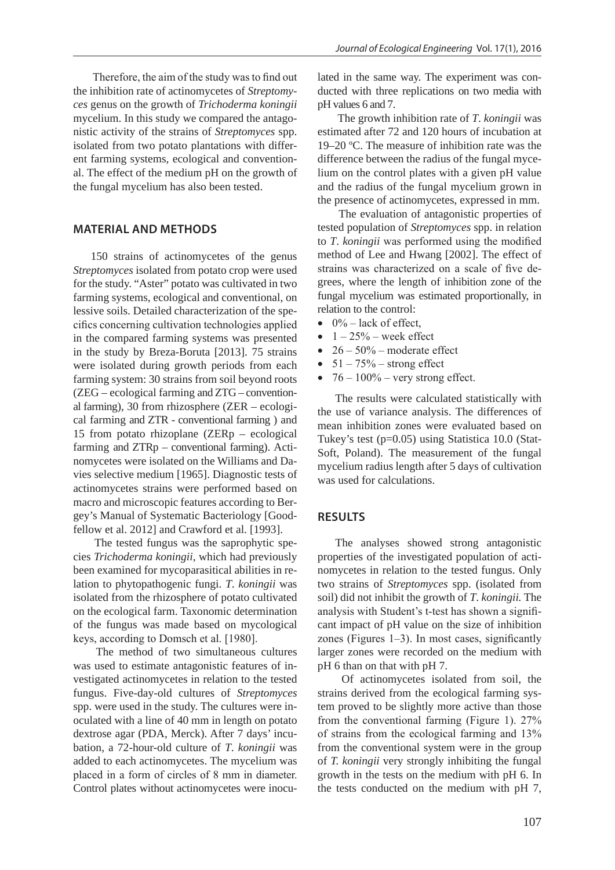Therefore, the aim of the study was to find out the inhibition rate of actinomycetes of *Streptomyces* genus on the growth of *Trichoderma koningii* mycelium. In this study we compared the antagonistic activity of the strains of *Streptomyces* spp. isolated from two potato plantations with different farming systems, ecological and conventional. The effect of the medium pH on the growth of the fungal mycelium has also been tested.

#### **MATERIAL AND METHODS**

150 strains of actinomycetes of the genus *Streptomyces* isolated from potato crop were used for the study. "Aster" potato was cultivated in two farming systems, ecological and conventional, on lessive soils. Detailed characterization of the specifics concerning cultivation technologies applied in the compared farming systems was presented in the study by Breza-Boruta [2013]. 75 strains were isolated during growth periods from each farming system: 30 strains from soil beyond roots (ZEG – ecological farming and ZTG – conventional farming), 30 from rhizosphere (ZER – ecological farming and ZTR - conventional farming ) and 15 from potato rhizoplane (ZERp – ecological farming and ZTRp – conventional farming). Actinomycetes were isolated on the Williams and Davies selective medium [1965]. Diagnostic tests of actinomycetes strains were performed based on macro and microscopic features according to Bergey's Manual of Systematic Bacteriology [Goodfellow et al. 2012] and Crawford et al. [1993].

 The tested fungus was the saprophytic species *Trichoderma koningii*, which had previously been examined for mycoparasitical abilities in relation to phytopathogenic fungi. *T*. *koningii* was isolated from the rhizosphere of potato cultivated on the ecological farm. Taxonomic determination of the fungus was made based on mycological keys, according to Domsch et al. [1980].

 The method of two simultaneous cultures was used to estimate antagonistic features of investigated actinomycetes in relation to the tested fungus. Five-day-old cultures of *Streptomyces* spp. were used in the study. The cultures were inoculated with a line of 40 mm in length on potato dextrose agar (PDA, Merck). After 7 days' incubation, a 72-hour-old culture of *T*. *koningii* was added to each actinomycetes. The mycelium was placed in a form of circles of 8 mm in diameter. Control plates without actinomycetes were inoculated in the same way. The experiment was conducted with three replications on two media with pH values 6 and 7.

 The growth inhibition rate of *T*. *koningii* was estimated after 72 and 120 hours of incubation at 19–20 ºC. The measure of inhibition rate was the difference between the radius of the fungal mycelium on the control plates with a given pH value and the radius of the fungal mycelium grown in the presence of actinomycetes, expressed in mm.

 The evaluation of antagonistic properties of tested population of *Streptomyces* spp. in relation to *T*. *koningii* was performed using the modified method of Lee and Hwang [2002]. The effect of strains was characterized on a scale of five degrees, where the length of inhibition zone of the fungal mycelium was estimated proportionally, in relation to the control:

- $\bullet$  0% lack of effect.
- $1 25%$  week effect
- $26 50\%$  moderate effect
- $51 75\%$  strong effect
- $76 100\%$  very strong effect.

The results were calculated statistically with the use of variance analysis. The differences of mean inhibition zones were evaluated based on Tukey's test (p=0.05) using Statistica 10.0 (Stat-Soft, Poland). The measurement of the fungal mycelium radius length after 5 days of cultivation was used for calculations.

### **RESULTS**

The analyses showed strong antagonistic properties of the investigated population of actinomycetes in relation to the tested fungus. Only two strains of *Streptomyces* spp. (isolated from soil) did not inhibit the growth of *T*. *koningii.* The analysis with Student's t-test has shown a significant impact of pH value on the size of inhibition zones (Figures 1–3). In most cases, significantly larger zones were recorded on the medium with pH 6 than on that with pH 7.

 Of actinomycetes isolated from soil, the strains derived from the ecological farming system proved to be slightly more active than those from the conventional farming (Figure 1). 27% of strains from the ecological farming and 13% from the conventional system were in the group of *T. koningii* very strongly inhibiting the fungal growth in the tests on the medium with pH 6. In the tests conducted on the medium with pH 7,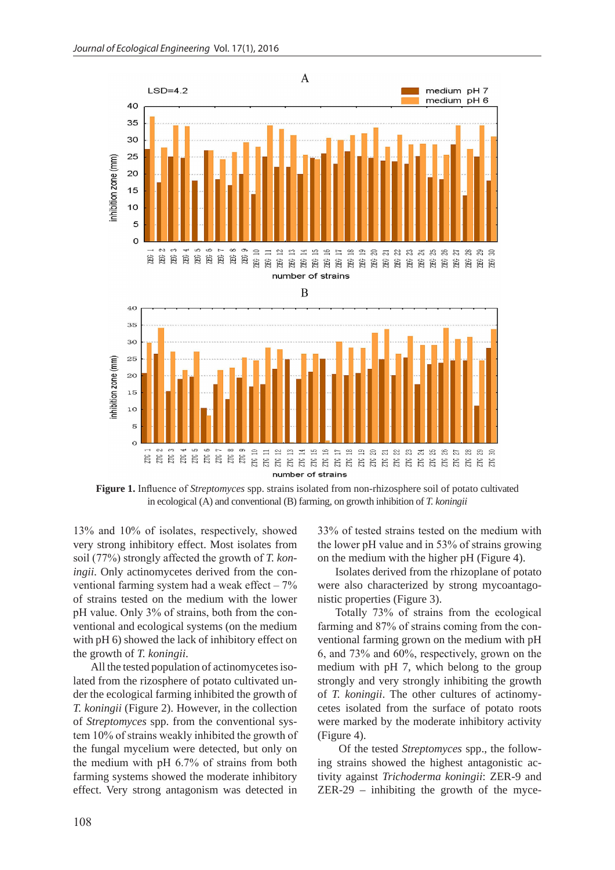

**Figure 1.** Influence of *Streptomyces* spp. strains isolated from non-rhizosphere soil of potato cultivated in ecological (A) and conventional (B) farming, on growth inhibition of *T. koningii*

13% and 10% of isolates, respectively, showed very strong inhibitory effect. Most isolates from soil (77%) strongly affected the growth of *T. koningii*. Only actinomycetes derived from the conventional farming system had a weak effect – 7% of strains tested on the medium with the lower pH value. Only 3% of strains, both from the conventional and ecological systems (on the medium with pH 6) showed the lack of inhibitory effect on the growth of *T. koningii*.

All the tested population of actinomycetes isolated from the rizosphere of potato cultivated under the ecological farming inhibited the growth of *T. koningii* (Figure 2). However, in the collection of *Streptomyces* spp. from the conventional system 10% of strains weakly inhibited the growth of the fungal mycelium were detected, but only on the medium with pH 6.7% of strains from both farming systems showed the moderate inhibitory effect. Very strong antagonism was detected in

33% of tested strains tested on the medium with the lower pH value and in 53% of strains growing on the medium with the higher pH (Figure 4).

Isolates derived from the rhizoplane of potato were also characterized by strong mycoantagonistic properties (Figure 3).

Totally 73% of strains from the ecological farming and 87% of strains coming from the conventional farming grown on the medium with pH 6, and 73% and 60%, respectively, grown on the medium with pH 7, which belong to the group strongly and very strongly inhibiting the growth of *T. koningii*. The other cultures of actinomycetes isolated from the surface of potato roots were marked by the moderate inhibitory activity (Figure 4).

 Of the tested *Streptomyces* spp., the following strains showed the highest antagonistic activity against *Trichoderma koningii*: ZER-9 and ZER-29 – inhibiting the growth of the myce-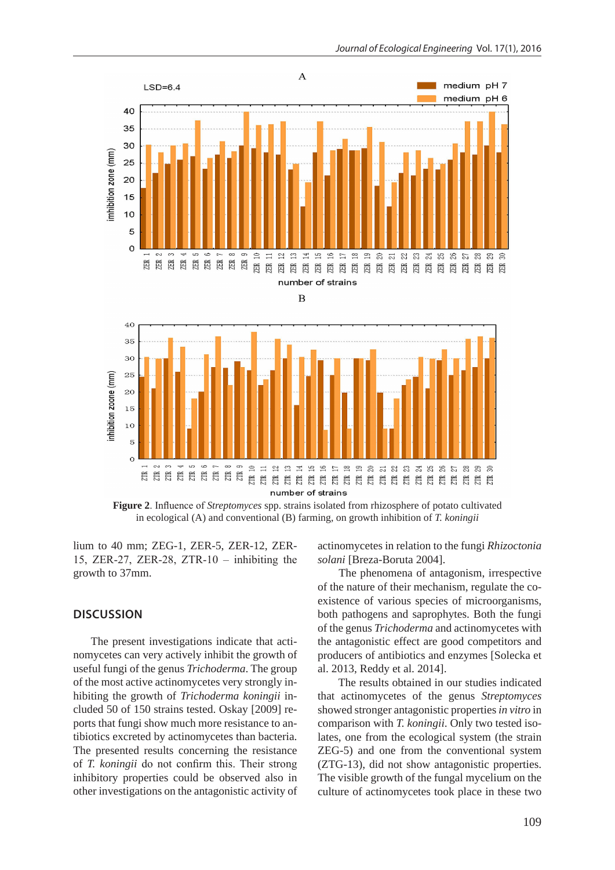

**Figure 2**. Influence of *Streptomyces* spp. strains isolated from rhizosphere of potato cultivated in ecological (A) and conventional (B) farming, on growth inhibition of *T. koningii*

lium to 40 mm; ZEG-1, ZER-5, ZER-12, ZER-15, ZER-27, ZER-28, ZTR-10 – inhibiting the growth to 37mm.

#### **DISCUSSION**

The present investigations indicate that actinomycetes can very actively inhibit the growth of useful fungi of the genus *Trichoderma*. The group of the most active actinomycetes very strongly inhibiting the growth of *Trichoderma koningii* included 50 of 150 strains tested. Oskay [2009] reports that fungi show much more resistance to antibiotics excreted by actinomycetes than bacteria. The presented results concerning the resistance of *T. koningii* do not confirm this. Their strong inhibitory properties could be observed also in other investigations on the antagonistic activity of

actinomycetes in relation to the fungi *Rhizoctonia solani* [Breza-Boruta 2004].

 The phenomena of antagonism, irrespective of the nature of their mechanism, regulate the coexistence of various species of microorganisms, both pathogens and saprophytes. Both the fungi of the genus *Trichoderma* and actinomycetes with the antagonistic effect are good competitors and producers of antibiotics and enzymes [Solecka et al. 2013, Reddy et al. 2014].

 The results obtained in our studies indicated that actinomycetes of the genus *Streptomyces* showed stronger antagonistic properties *in vitro* in comparison with *T. koningii*. Only two tested isolates, one from the ecological system (the strain ZEG-5) and one from the conventional system (ZTG-13), did not show antagonistic properties. The visible growth of the fungal mycelium on the culture of actinomycetes took place in these two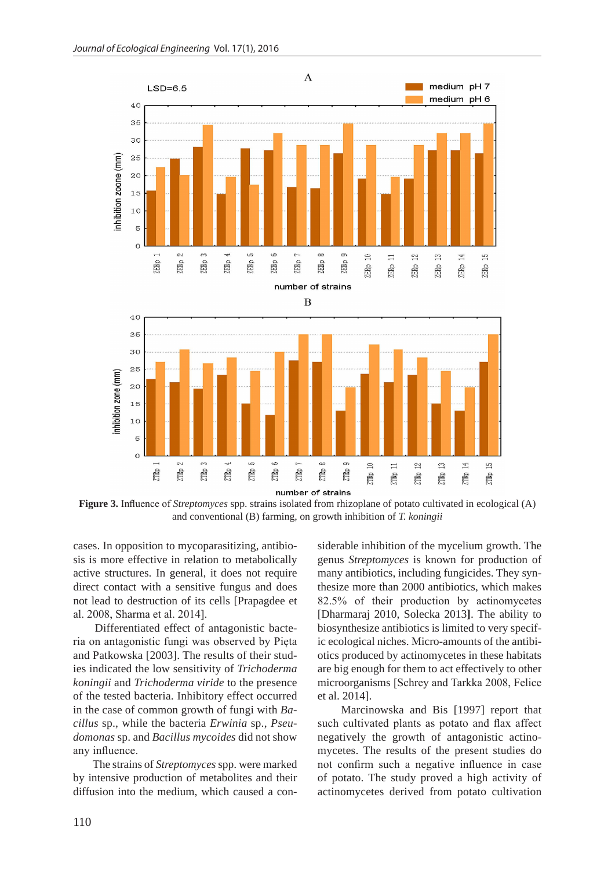

**Figure 3.** Influence of *Streptomyces* spp. strains isolated from rhizoplane of potato cultivated in ecological (A) and conventional (B) farming, on growth inhibition of *T. koningii*

cases. In opposition to mycoparasitizing, antibiosis is more effective in relation to metabolically active structures. In general, it does not require direct contact with a sensitive fungus and does not lead to destruction of its cells [Prapagdee et al. 2008, Sharma et al. 2014].

 Differentiated effect of antagonistic bacteria on antagonistic fungi was observed by Pięta and Patkowska [2003]. The results of their studies indicated the low sensitivity of *Trichoderma koningii* and *Trichoderma viride* to the presence of the tested bacteria. Inhibitory effect occurred in the case of common growth of fungi with *Bacillus* sp., while the bacteria *Erwinia* sp., *Pseudomonas* sp. and *Bacillus mycoides* did not show any influence.

 The strains of *Streptomyces* spp. were marked by intensive production of metabolites and their diffusion into the medium, which caused a con-

siderable inhibition of the mycelium growth. The genus *Streptomyces* is known for production of many antibiotics, including fungicides. They synthesize more than 2000 antibiotics, which makes 82.5% of their production by actinomycetes [Dharmaraj 2010, Solecka 2013**]**. The ability to biosynthesize antibiotics is limited to very specific ecological niches. Micro-amounts of the antibiotics produced by actinomycetes in these habitats are big enough for them to act effectively to other microorganisms [Schrey and Tarkka 2008, Felice et al. 2014].

 Marcinowska and Bis [1997] report that such cultivated plants as potato and flax affect negatively the growth of antagonistic actinomycetes. The results of the present studies do not confirm such a negative influence in case of potato. The study proved a high activity of actinomycetes derived from potato cultivation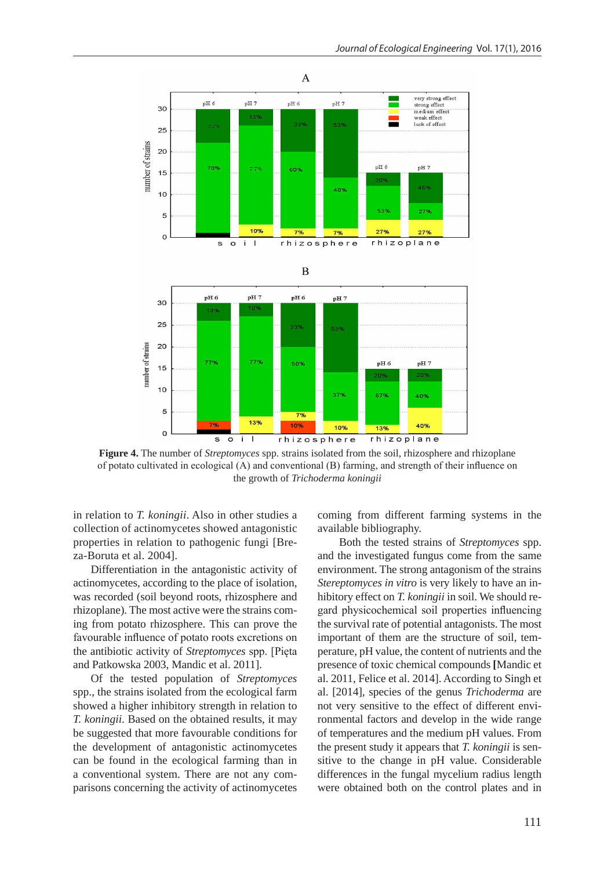

**Figure 4.** The number of *Streptomyces* spp. strains isolated from the soil, rhizosphere and rhizoplane of potato cultivated in ecological (A) and conventional (B) farming, and strength of their influence on the growth of *Trichoderma koningii*

in relation to *T. koningii*. Also in other studies a collection of actinomycetes showed antagonistic properties in relation to pathogenic fungi [Breza-Boruta et al. 2004].

Differentiation in the antagonistic activity of actinomycetes, according to the place of isolation, was recorded (soil beyond roots, rhizosphere and rhizoplane). The most active were the strains coming from potato rhizosphere. This can prove the favourable influence of potato roots excretions on the antibiotic activity of *Streptomyces* spp. [Pięta and Patkowska 2003, Mandic et al. 2011].

Of the tested population of *Streptomyces* spp., the strains isolated from the ecological farm showed a higher inhibitory strength in relation to *T. koningii*. Based on the obtained results, it may be suggested that more favourable conditions for the development of antagonistic actinomycetes can be found in the ecological farming than in a conventional system. There are not any comparisons concerning the activity of actinomycetes coming from different farming systems in the available bibliography.

 Both the tested strains of *Streptomyces* spp. and the investigated fungus come from the same environment. The strong antagonism of the strains *Stereptomyces in vitro* is very likely to have an inhibitory effect on *T. koningii* in soil. We should regard physicochemical soil properties influencing the survival rate of potential antagonists. The most important of them are the structure of soil, temperature, pH value, the content of nutrients and the presence of toxic chemical compounds **[**Mandic et al. 2011, Felice et al. 2014]. According to Singh et al. [2014], species of the genus *Trichoderma* are not very sensitive to the effect of different environmental factors and develop in the wide range of temperatures and the medium pH values. From the present study it appears that *T. koningii* is sensitive to the change in pH value. Considerable differences in the fungal mycelium radius length were obtained both on the control plates and in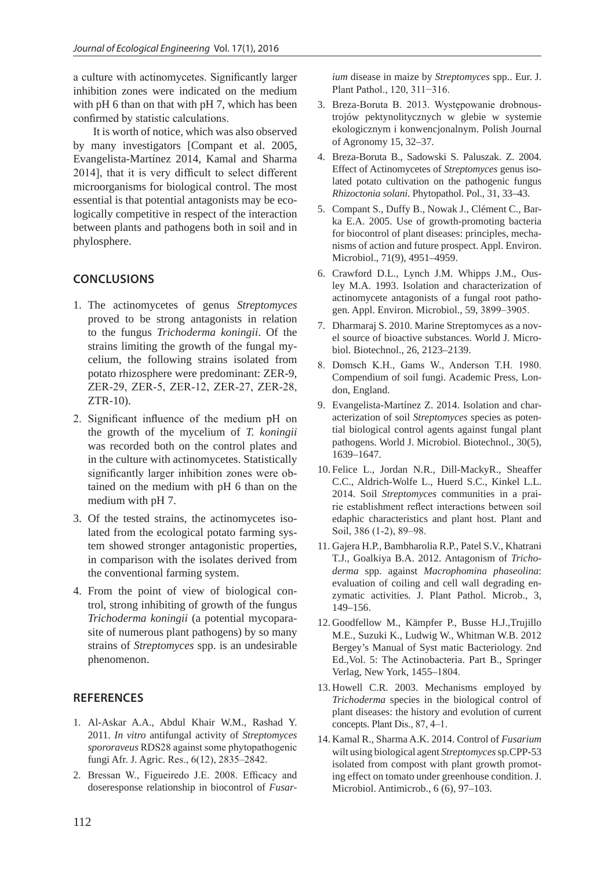a culture with actinomycetes. Significantly larger inhibition zones were indicated on the medium with pH 6 than on that with pH 7, which has been confirmed by statistic calculations.

 It is worth of notice, which was also observed by many investigators [Compant et al. 2005, Evangelista-Martínez 2014, Kamal and Sharma 2014], that it is very difficult to select different microorganisms for biological control. The most essential is that potential antagonists may be ecologically competitive in respect of the interaction between plants and pathogens both in soil and in phylosphere.

## **CONCLUSIONS**

- 1. The actinomycetes of genus *Streptomyces* proved to be strong antagonists in relation to the fungus *Trichoderma koningii*. Of the strains limiting the growth of the fungal mycelium, the following strains isolated from potato rhizosphere were predominant: ZER-9, ZER-29, ZER-5, ZER-12, ZER-27, ZER-28, ZTR-10).
- 2. Significant influence of the medium pH on the growth of the mycelium of *T. koningii* was recorded both on the control plates and in the culture with actinomycetes. Statistically significantly larger inhibition zones were obtained on the medium with pH 6 than on the medium with pH 7.
- 3. Of the tested strains, the actinomycetes isolated from the ecological potato farming system showed stronger antagonistic properties, in comparison with the isolates derived from the conventional farming system.
- 4. From the point of view of biological control, strong inhibiting of growth of the fungus *Trichoderma koningii* (a potential mycoparasite of numerous plant pathogens) by so many strains of *Streptomyces* spp. is an undesirable phenomenon.

## **REFERENCES**

- 1. Al-Askar A.A., Abdul Khair W.M., Rashad Y. 2011. *In vitro* antifungal activity of *Streptomyces spororaveus* RDS28 against some phytopathogenic fungi Afr. J. Agric. Res., 6(12), 2835–2842.
- 2. Bressan W., Figueiredo J.E. 2008. Efficacy and doseresponse relationship in biocontrol of *Fusar-*

*ium* disease in maize by *Streptomyces* spp.. Eur. J. Plant Pathol., 120, 311−316.

- 3. Breza-Boruta B. 2013. Występowanie drobnoustrojów pektynolitycznych w glebie w systemie ekologicznym i konwencjonalnym. Polish Journal of Agronomy 15, 32–37.
- 4. Breza-Boruta B., Sadowski S. Paluszak. Z. 2004. Effect of Actinomycetes of *Streptomyces* genus isolated potato cultivation on the pathogenic fungus *Rhizoctonia solani*. Phytopathol. Pol., 31, 33–43.
- 5. Compant S., Duffy B., Nowak J., Clément C., Barka E.A. 2005. Use of growth-promoting bacteria for biocontrol of plant diseases: principles, mechanisms of action and future prospect. Appl. Environ. Microbiol., 71(9), 4951–4959.
- 6. Crawford D.L., Lynch J.M. Whipps J.M., Ousley M.A. 1993. Isolation and characterization of actinomycete antagonists of a fungal root pathogen. Appl. Environ. Microbiol., 59, 3899–3905.
- 7. Dharmaraj S. 2010. Marine Streptomyces as a novel source of bioactive substances. World J. Microbiol. Biotechnol., 26, 2123–2139.
- 8. Domsch K.H., Gams W., Anderson T.H. 1980. Compendium of soil fungi. Academic Press, London, England.
- 9. Evangelista-Martínez Z. 2014. Isolation and characterization of soil *Streptomyces* species as potential biological control agents against fungal plant pathogens. World J. Microbiol. Biotechnol., 30(5), 1639–1647.
- 10. Felice L., Jordan N.R., Dill-MackyR., Sheaffer C.C., Aldrich-Wolfe L., Huerd S.C., Kinkel L.L. 2014. Soil *Streptomyces* communities in a prairie establishment reflect interactions between soil edaphic characteristics and plant host. Plant and Soil, 386 (1-2), 89–98.
- 11. Gajera H.P., Bambharolia R.P., Patel S.V., Khatrani T.J., Goalkiya B.A. 2012. Antagonism of *Trichoderma* spp. against *Macrophomina phaseolina*: evaluation of coiling and cell wall degrading enzymatic activities. J. Plant Pathol. Microb., 3, 149–156.
- 12. Goodfellow M., Kämpfer P., Busse H.J.,Trujillo M.E., Suzuki K., Ludwig W., Whitman W.B. 2012 Bergey's Manual of Syst matic Bacteriology. 2nd Ed.,Vol. 5: The Actinobacteria. Part B., Springer Verlag, New York, 1455–1804.
- 13. Howell C.R. 2003. Mechanisms employed by *Trichoderma* species in the biological control of plant diseases: the history and evolution of current concepts. Plant Dis., 87, 4–1.
- 14. Kamal R., Sharma A.K. 2014. Control of *Fusarium* wilt using biological agent *Streptomyces* sp.CPP-53 isolated from compost with plant growth promoting effect on tomato under greenhouse condition. J. Microbiol. Antimicrob., 6 (6), 97–103.